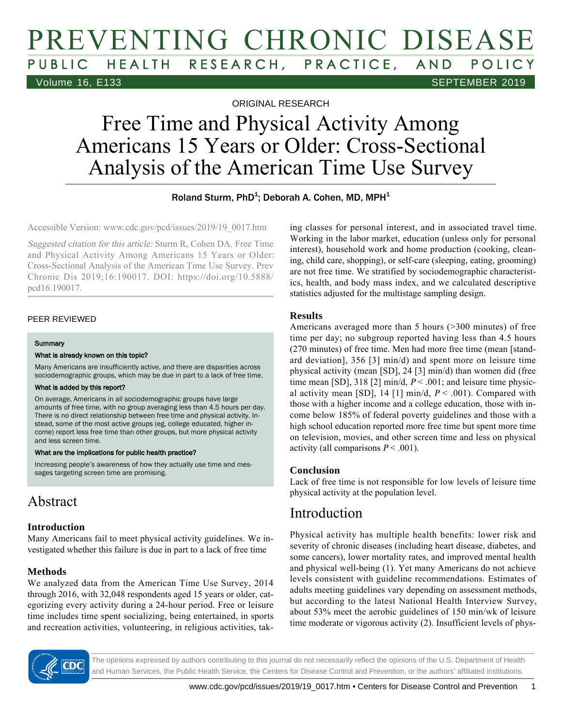# PREVENTING CHRONIC DISEASE PUBLIC HEALTH RESEARCH, PRACTICE, AND POLICY Volume 16, E133 September 2019 and the set of the set of the set of the set of the SEPTEMBER 2019

ORIGINAL RESEARCH

# Free Time and Physical Activity Among Americans 15 Years or Older: Cross-Sectional Analysis of the American Time Use Survey

Roland Sturm, PhD<sup>1</sup>; Deborah A. Cohen, MD, MPH<sup>1</sup>

Accessible Version: www.cdc.gov/pcd/issues/2019/19\_0017.htm

Suggested citation for this article: Sturm R, Cohen DA. Free Time and Physical Activity Among Americans 15 Years or Older: Cross-Sectional Analysis of the American Time Use Survey. Prev Chronic Dis 2019;16:190017. DOI: https://doi.org/10.5888/ pcd16.190017.

### PEER REVIEWED

#### **Summary**

#### What is already known on this topic?

Many Americans are insufficiently active, and there are disparities across sociodemographic groups, which may be due in part to a lack of free time.

#### What is added by this report?

On average, Americans in all sociodemographic groups have large amounts of free time, with no group averaging less than 4.5 hours per day. There is no direct relationship between free time and physical activity. Instead, some of the most active groups (eg, college educated, higher income) report less free time than other groups, but more physical activity and less screen time.

#### What are the implications for public health practice?

Increasing people's awareness of how they actually use time and messages targeting screen time are promising.

# Abstract

### **Introduction**

Many Americans fail to meet physical activity guidelines. We investigated whether this failure is due in part to a lack of free time

### **Methods**

We analyzed data from the American Time Use Survey, 2014 through 2016, with 32,048 respondents aged 15 years or older, categorizing every activity during a 24-hour period. Free or leisure time includes time spent socializing, being entertained, in sports and recreation activities, volunteering, in religious activities, taking classes for personal interest, and in associated travel time. Working in the labor market, education (unless only for personal interest), household work and home production (cooking, cleaning, child care, shopping), or self-care (sleeping, eating, grooming) are not free time. We stratified by sociodemographic characteristics, health, and body mass index, and we calculated descriptive statistics adjusted for the multistage sampling design.

### **Results**

Americans averaged more than 5 hours (>300 minutes) of free time per day; no subgroup reported having less than 4.5 hours (270 minutes) of free time. Men had more free time (mean [standard deviation], 356 [3] min/d) and spent more on leisure time physical activity (mean [SD], 24 [3] min/d) than women did (free time mean [SD], 318 [2] min/d,  $P < .001$ ; and leisure time physical activity mean [SD], 14 [1] min/d,  $P < .001$ ). Compared with those with a higher income and a college education, those with income below 185% of federal poverty guidelines and those with a high school education reported more free time but spent more time on television, movies, and other screen time and less on physical activity (all comparisons  $P < .001$ ).

### **Conclusion**

Lack of free time is not responsible for low levels of leisure time physical activity at the population level.

## Introduction

Physical activity has multiple health benefits: lower risk and severity of chronic diseases (including heart disease, diabetes, and some cancers), lower mortality rates, and improved mental health and physical well-being (1). Yet many Americans do not achieve levels consistent with guideline recommendations. Estimates of adults meeting guidelines vary depending on assessment methods, but according to the latest National Health Interview Survey, about 53% meet the aerobic guidelines of 150 min/wk of leisure time moderate or vigorous activity (2). Insufficient levels of phys-

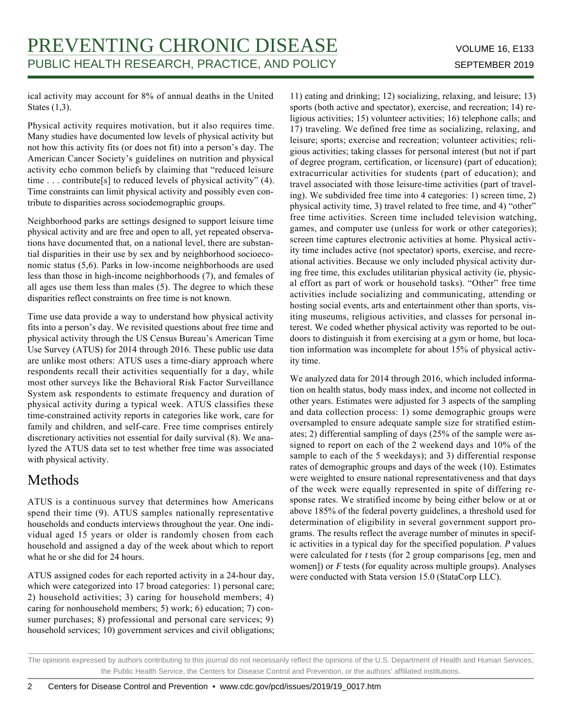ical activity may account for 8% of annual deaths in the United States (1,3).

Physical activity requires motivation, but it also requires time. Many studies have documented low levels of physical activity but not how this activity fits (or does not fit) into a person's day. The American Cancer Society's guidelines on nutrition and physical activity echo common beliefs by claiming that "reduced leisure time . . . contribute[s] to reduced levels of physical activity" (4). Time constraints can limit physical activity and possibly even contribute to disparities across sociodemographic groups.

Neighborhood parks are settings designed to support leisure time physical activity and are free and open to all, yet repeated observations have documented that, on a national level, there are substantial disparities in their use by sex and by neighborhood socioeconomic status (5,6). Parks in low-income neighborhoods are used less than those in high-income neighborhoods (7), and females of all ages use them less than males (5). The degree to which these disparities reflect constraints on free time is not known.

Time use data provide a way to understand how physical activity fits into a person's day. We revisited questions about free time and physical activity through the US Census Bureau's American Time Use Survey (ATUS) for 2014 through 2016. These public use data are unlike most others: ATUS uses a time-diary approach where respondents recall their activities sequentially for a day, while most other surveys like the Behavioral Risk Factor Surveillance System ask respondents to estimate frequency and duration of physical activity during a typical week. ATUS classifies these time-constrained activity reports in categories like work, care for family and children, and self-care. Free time comprises entirely discretionary activities not essential for daily survival (8). We analyzed the ATUS data set to test whether free time was associated with physical activity.

## Methods

ATUS is a continuous survey that determines how Americans spend their time (9). ATUS samples nationally representative households and conducts interviews throughout the year. One individual aged 15 years or older is randomly chosen from each household and assigned a day of the week about which to report what he or she did for 24 hours.

ATUS assigned codes for each reported activity in a 24-hour day, which were categorized into 17 broad categories: 1) personal care; 2) household activities; 3) caring for household members; 4) caring for nonhousehold members; 5) work; 6) education; 7) consumer purchases; 8) professional and personal care services; 9) household services; 10) government services and civil obligations;

11) eating and drinking; 12) socializing, relaxing, and leisure; 13) sports (both active and spectator), exercise, and recreation; 14) religious activities; 15) volunteer activities; 16) telephone calls; and 17) traveling. We defined free time as socializing, relaxing, and leisure; sports; exercise and recreation; volunteer activities; religious activities; taking classes for personal interest (but not if part of degree program, certification, or licensure) (part of education); extracurricular activities for students (part of education); and travel associated with those leisure-time activities (part of traveling). We subdivided free time into 4 categories: 1) screen time, 2) physical activity time, 3) travel related to free time, and 4) "other" free time activities. Screen time included television watching, games, and computer use (unless for work or other categories); screen time captures electronic activities at home. Physical activity time includes active (not spectator) sports, exercise, and recreational activities. Because we only included physical activity during free time, this excludes utilitarian physical activity (ie, physical effort as part of work or household tasks). "Other" free time activities include socializing and communicating, attending or hosting social events, arts and entertainment other than sports, visiting museums, religious activities, and classes for personal interest. We coded whether physical activity was reported to be outdoors to distinguish it from exercising at a gym or home, but location information was incomplete for about 15% of physical activity time.

We analyzed data for 2014 through 2016, which included information on health status, body mass index, and income not collected in other years. Estimates were adjusted for 3 aspects of the sampling and data collection process: 1) some demographic groups were oversampled to ensure adequate sample size for stratified estimates; 2) differential sampling of days (25% of the sample were assigned to report on each of the 2 weekend days and 10% of the sample to each of the 5 weekdays); and 3) differential response rates of demographic groups and days of the week (10). Estimates were weighted to ensure national representativeness and that days of the week were equally represented in spite of differing response rates. We stratified income by being either below or at or above 185% of the federal poverty guidelines, a threshold used for determination of eligibility in several government support programs. The results reflect the average number of minutes in specific activities in a typical day for the specified population. P values were calculated for t tests (for 2 group comparisons [eg, men and women]) or  $F$  tests (for equality across multiple groups). Analyses were conducted with Stata version 15.0 (StataCorp LLC).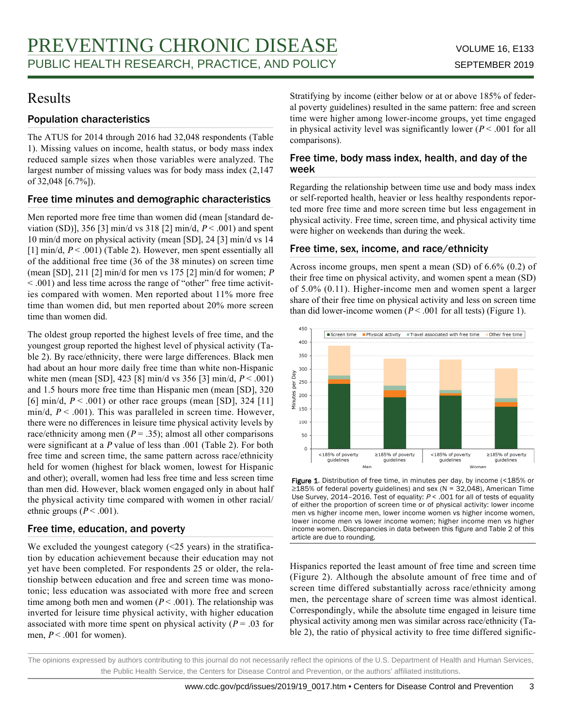### Results

### Population characteristics

The ATUS for 2014 through 2016 had 32,048 respondents (Table 1). Missing values on income, health status, or body mass index reduced sample sizes when those variables were analyzed. The largest number of missing values was for body mass index (2,147 of 32,048 [6.7%]).

### Free time minutes and demographic characteristics

Men reported more free time than women did (mean [standard deviation (SD)], 356 [3] min/d vs 318 [2] min/d,  $P < .001$ ) and spent 10 min/d more on physical activity (mean [SD], 24 [3] min/d vs 14 [1] min/d,  $P < .001$ ) (Table 2). However, men spent essentially all of the additional free time (36 of the 38 minutes) on screen time (mean [SD], 211 [2] min/d for men vs 175 [2] min/d for women; <sup>P</sup> < .001) and less time across the range of "other" free time activities compared with women. Men reported about 11% more free time than women did, but men reported about 20% more screen time than women did.

The oldest group reported the highest levels of free time, and the youngest group reported the highest level of physical activity (Table 2). By race/ethnicity, there were large differences. Black men had about an hour more daily free time than white non-Hispanic white men (mean [SD], 423 [8] min/d vs 356 [3] min/d,  $P < .001$ ) and 1.5 hours more free time than Hispanic men (mean [SD], 320 [6] min/d,  $P < .001$ ) or other race groups (mean [SD], 324 [11] min/d,  $P < .001$ ). This was paralleled in screen time. However, there were no differences in leisure time physical activity levels by race/ethnicity among men ( $P = .35$ ); almost all other comparisons were significant at a P value of less than .001 (Table 2). For both free time and screen time, the same pattern across race/ethnicity held for women (highest for black women, lowest for Hispanic and other); overall, women had less free time and less screen time than men did. However, black women engaged only in about half the physical activity time compared with women in other racial/ ethnic groups ( $P < .001$ ).

### Free time, education, and poverty

We excluded the youngest category (<25 years) in the stratification by education achievement because their education may not yet have been completed. For respondents 25 or older, the relationship between education and free and screen time was monotonic; less education was associated with more free and screen time among both men and women ( $P < .001$ ). The relationship was inverted for leisure time physical activity, with higher education associated with more time spent on physical activity ( $P = .03$  for men,  $P < .001$  for women).

Stratifying by income (either below or at or above 185% of federal poverty guidelines) resulted in the same pattern: free and screen time were higher among lower-income groups, yet time engaged in physical activity level was significantly lower ( $P < .001$  for all comparisons).

### Free time, body mass index, health, and day of the week

Regarding the relationship between time use and body mass index or self-reported health, heavier or less healthy respondents reported more free time and more screen time but less engagement in physical activity. Free time, screen time, and physical activity time were higher on weekends than during the week.

### Free time, sex, income, and race/ethnicity

Across income groups, men spent a mean (SD) of 6.6% (0.2) of their free time on physical activity, and women spent a mean (SD) of 5.0% (0.11). Higher-income men and women spent a larger share of their free time on physical activity and less on screen time than did lower-income women ( $P < .001$  for all tests) (Figure 1).



Figure 1. Distribution of free time, in minutes per day, by income (<185% or ≥185% of federal poverty guidelines) and sex (N = 32,048), American Time Use Survey, 2014–2016. Test of equality:  $P < .001$  for all of tests of equality of either the proportion of screen time or of physical activity: lower income men vs higher income men, lower income women vs higher income women, lower income men vs lower income women; higher income men vs higher income women. Discrepancies in data between this figure and Table 2 of this article are due to rounding.

Hispanics reported the least amount of free time and screen time (Figure 2). Although the absolute amount of free time and of screen time differed substantially across race/ethnicity among men, the percentage share of screen time was almost identical. Correspondingly, while the absolute time engaged in leisure time physical activity among men was similar across race/ethnicity (Table 2), the ratio of physical activity to free time differed signific-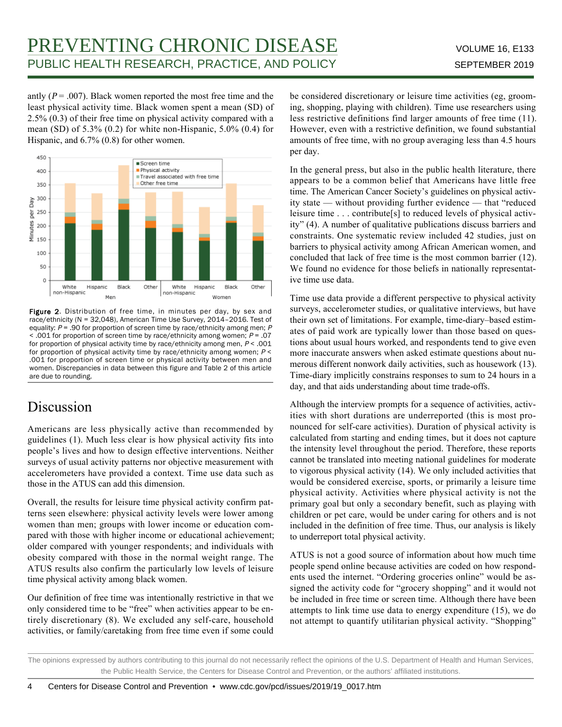antly ( $P = .007$ ). Black women reported the most free time and the least physical activity time. Black women spent a mean (SD) of 2.5% (0.3) of their free time on physical activity compared with a mean (SD) of 5.3% (0.2) for white non-Hispanic, 5.0% (0.4) for Hispanic, and  $6.7\%$  (0.8) for other women.



Figure 2. Distribution of free time, in minutes per day, by sex and race/ethnicity (N = 32,048), American Time Use Survey, 2014–2016. Test of equality:  $P = .90$  for proportion of screen time by race/ethnicity among men;  $P$  $\le$  .001 for proportion of screen time by race/ethnicity among women; P = .07 for proportion of physical activity time by race/ethnicity among men,  $P < .001$ for proportion of physical activity time by race/ethnicity among women; P < .001 for proportion of screen time or physical activity between men and women. Discrepancies in data between this figure and Table 2 of this article are due to rounding.

# Discussion

Americans are less physically active than recommended by guidelines (1). Much less clear is how physical activity fits into people's lives and how to design effective interventions. Neither surveys of usual activity patterns nor objective measurement with accelerometers have provided a context. Time use data such as those in the ATUS can add this dimension.

Overall, the results for leisure time physical activity confirm patterns seen elsewhere: physical activity levels were lower among women than men; groups with lower income or education compared with those with higher income or educational achievement; older compared with younger respondents; and individuals with obesity compared with those in the normal weight range. The ATUS results also confirm the particularly low levels of leisure time physical activity among black women.

Our definition of free time was intentionally restrictive in that we only considered time to be "free" when activities appear to be entirely discretionary (8). We excluded any self-care, household activities, or family/caretaking from free time even if some could be considered discretionary or leisure time activities (eg, grooming, shopping, playing with children). Time use researchers using less restrictive definitions find larger amounts of free time (11). However, even with a restrictive definition, we found substantial amounts of free time, with no group averaging less than 4.5 hours per day.

In the general press, but also in the public health literature, there appears to be a common belief that Americans have little free time. The American Cancer Society's guidelines on physical activity state — without providing further evidence — that "reduced leisure time . . . contribute[s] to reduced levels of physical activity" (4). A number of qualitative publications discuss barriers and constraints. One systematic review included 42 studies, just on barriers to physical activity among African American women, and concluded that lack of free time is the most common barrier (12). We found no evidence for those beliefs in nationally representative time use data.

Time use data provide a different perspective to physical activity surveys, accelerometer studies, or qualitative interviews, but have their own set of limitations. For example, time-diary–based estimates of paid work are typically lower than those based on questions about usual hours worked, and respondents tend to give even more inaccurate answers when asked estimate questions about numerous different nonwork daily activities, such as housework (13). Time-diary implicitly constrains responses to sum to 24 hours in a day, and that aids understanding about time trade-offs.

Although the interview prompts for a sequence of activities, activities with short durations are underreported (this is most pronounced for self-care activities). Duration of physical activity is calculated from starting and ending times, but it does not capture the intensity level throughout the period. Therefore, these reports cannot be translated into meeting national guidelines for moderate to vigorous physical activity (14). We only included activities that would be considered exercise, sports, or primarily a leisure time physical activity. Activities where physical activity is not the primary goal but only a secondary benefit, such as playing with children or pet care, would be under caring for others and is not included in the definition of free time. Thus, our analysis is likely to underreport total physical activity.

ATUS is not a good source of information about how much time people spend online because activities are coded on how respondents used the internet. "Ordering groceries online" would be assigned the activity code for "grocery shopping" and it would not be included in free time or screen time. Although there have been attempts to link time use data to energy expenditure (15), we do not attempt to quantify utilitarian physical activity. "Shopping"

The opinions expressed by authors contributing to this journal do not necessarily reflect the opinions of the U.S. Department of Health and Human Services, the Public Health Service, the Centers for Disease Control and Prevention, or the authors' affiliated institutions.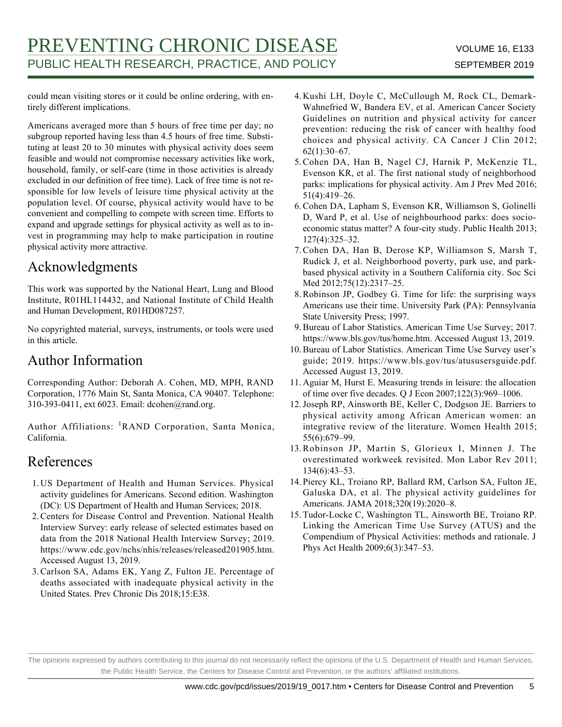could mean visiting stores or it could be online ordering, with entirely different implications.

Americans averaged more than 5 hours of free time per day; no subgroup reported having less than 4.5 hours of free time. Substituting at least 20 to 30 minutes with physical activity does seem feasible and would not compromise necessary activities like work, household, family, or self-care (time in those activities is already excluded in our definition of free time). Lack of free time is not responsible for low levels of leisure time physical activity at the population level. Of course, physical activity would have to be convenient and compelling to compete with screen time. Efforts to expand and upgrade settings for physical activity as well as to invest in programming may help to make participation in routine physical activity more attractive.

# Acknowledgments

This work was supported by the National Heart, Lung and Blood Institute, R01HL114432, and National Institute of Child Health and Human Development, R01HD087257.

No copyrighted material, surveys, instruments, or tools were used in this article.

# Author Information

Corresponding Author: Deborah A. Cohen, MD, MPH, RAND Corporation, 1776 Main St, Santa Monica, CA 90407. Telephone: 310-393-0411, ext 6023. Email: dcohen@rand.org.

Author Affiliations: <sup>1</sup>RAND Corporation, Santa Monica, California.

# References

- 1. US Department of Health and Human Services. Physical activity guidelines for Americans. Second edition. Washington (DC): US Department of Health and Human Services; 2018.
- 2. Centers for Disease Control and Prevention. National Health Interview Survey: early release of selected estimates based on data from the 2018 National Health Interview Survey; 2019. https://www.cdc.gov/nchs/nhis/releases/released201905.htm. Accessed August 13, 2019.
- 3. Carlson SA, Adams EK, Yang Z, Fulton JE. Percentage of deaths associated with inadequate physical activity in the United States. Prev Chronic Dis 2018;15:E38.
- 4. Kushi LH, Doyle C, McCullough M, Rock CL, Demark-Wahnefried W, Bandera EV, et al. American Cancer Society Guidelines on nutrition and physical activity for cancer prevention: reducing the risk of cancer with healthy food choices and physical activity. CA Cancer J Clin 2012; 62(1):30–67.
- 5. Cohen DA, Han B, Nagel CJ, Harnik P, McKenzie TL, Evenson KR, et al. The first national study of neighborhood parks: implications for physical activity. Am J Prev Med 2016; 51(4):419–26.
- 6. Cohen DA, Lapham S, Evenson KR, Williamson S, Golinelli D, Ward P, et al. Use of neighbourhood parks: does socioeconomic status matter? A four-city study. Public Health 2013; 127(4):325–32.
- 7. Cohen DA, Han B, Derose KP, Williamson S, Marsh T, Rudick J, et al. Neighborhood poverty, park use, and parkbased physical activity in a Southern California city. Soc Sci Med 2012;75(12):2317–25.
- 8. Robinson JP, Godbey G. Time for life: the surprising ways Americans use their time. University Park (PA): Pennsylvania State University Press; 1997.
- 9. Bureau of Labor Statistics. American Time Use Survey; 2017. https://www.bls.gov/tus/home.htm. Accessed August 13, 2019.
- 10. Bureau of Labor Statistics. American Time Use Survey user's guide; 2019. https://www.bls.gov/tus/atususersguide.pdf. Accessed August 13, 2019.
- 11. Aguiar M, Hurst E. Measuring trends in leisure: the allocation of time over five decades. Q J Econ 2007;122(3):969–1006.
- 12. Joseph RP, Ainsworth BE, Keller C, Dodgson JE. Barriers to physical activity among African American women: an integrative review of the literature. Women Health 2015; 55(6):679–99.
- 13. Robinson JP, Martin S, Glorieux I, Minnen J. The overestimated workweek revisited. Mon Labor Rev 2011; 134(6):43–53.
- 14. Piercy KL, Troiano RP, Ballard RM, Carlson SA, Fulton JE, Galuska DA, et al. The physical activity guidelines for Americans. JAMA 2018;320(19):2020–8.
- 15. Tudor-Locke C, Washington TL, Ainsworth BE, Troiano RP. Linking the American Time Use Survey (ATUS) and the Compendium of Physical Activities: methods and rationale. J Phys Act Health 2009;6(3):347–53.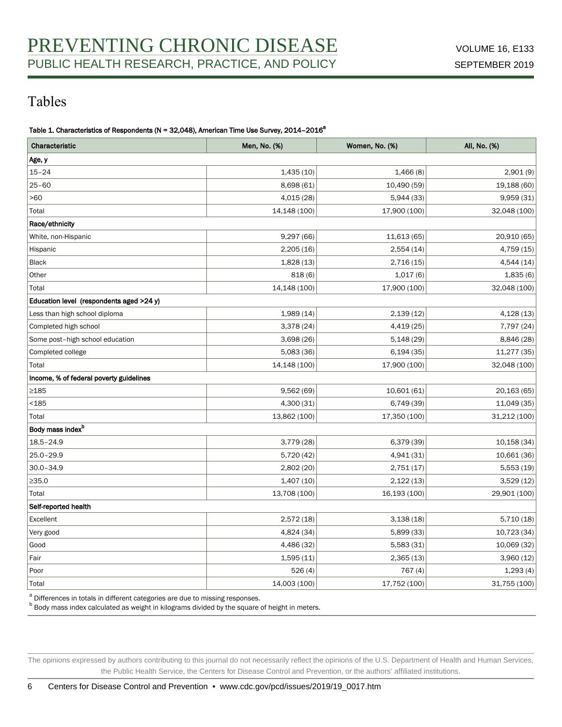# Tables

Table 1. Characteristics of Respondents (N = 32,048), American Time Use Survey,  $2014 - 2016^a$ 

| Characteristic                           | Men, No. (%) | Women, No. (%) | All, No. (%) |  |  |  |  |  |  |  |
|------------------------------------------|--------------|----------------|--------------|--|--|--|--|--|--|--|
| Age, y                                   |              |                |              |  |  |  |  |  |  |  |
| $15 - 24$                                | 1,435(10)    | 1,466(8)       | 2,901(9)     |  |  |  |  |  |  |  |
| $25 - 60$                                | 8,698 (61)   | 10,490 (59)    | 19,188 (60)  |  |  |  |  |  |  |  |
| >60                                      | 4,015 (28)   | 5,944 (33)     | 9,959 (31)   |  |  |  |  |  |  |  |
| Total                                    | 14,148 (100) | 17,900 (100)   | 32,048 (100) |  |  |  |  |  |  |  |
| Race/ethnicity                           |              |                |              |  |  |  |  |  |  |  |
| White, non-Hispanic                      | 9,297(66)    | 11,613 (65)    | 20,910 (65)  |  |  |  |  |  |  |  |
| Hispanic                                 | 2,205 (16)   | 2,554(14)      | 4,759 (15)   |  |  |  |  |  |  |  |
| <b>Black</b>                             | 1,828(13)    | 2,716(15)      | 4,544 (14)   |  |  |  |  |  |  |  |
| Other                                    | 818(6)       | 1,017(6)       | 1,835(6)     |  |  |  |  |  |  |  |
| Total                                    | 14,148 (100) | 17,900 (100)   | 32,048 (100) |  |  |  |  |  |  |  |
| Education level (respondents aged >24 y) |              |                |              |  |  |  |  |  |  |  |
| Less than high school diploma            | 1,989 (14)   | 2,139(12)      | 4,128 (13)   |  |  |  |  |  |  |  |
| Completed high school                    | 3,378 (24)   | 4,419 (25)     | 7,797 (24)   |  |  |  |  |  |  |  |
| Some post-high school education          | 3,698 (26)   | 5,148(29)      | 8,846 (28)   |  |  |  |  |  |  |  |
| Completed college                        | 5,083 (36)   | 6,194(35)      | 11,277 (35)  |  |  |  |  |  |  |  |
| Total                                    | 14,148 (100) | 17,900 (100)   | 32,048 (100) |  |  |  |  |  |  |  |
| Income, % of federal poverty guidelines  |              |                |              |  |  |  |  |  |  |  |
| $\geq$ 185                               | 9,562 (69)   | 10,601 (61)    | 20,163 (65)  |  |  |  |  |  |  |  |
| $185$                                    | 4,300 (31)   | 6,749 (39)     | 11,049 (35)  |  |  |  |  |  |  |  |
| Total                                    | 13,862 (100) | 17,350 (100)   | 31,212 (100) |  |  |  |  |  |  |  |
| Body mass index <sup>b</sup>             |              |                |              |  |  |  |  |  |  |  |
| $18.5 - 24.9$                            | 3,779 (28)   | 6,379 (39)     | 10,158 (34)  |  |  |  |  |  |  |  |
| $25.0 - 29.9$                            | 5,720 (42)   | 4,941 (31)     | 10,661 (36)  |  |  |  |  |  |  |  |
| $30.0 - 34.9$                            | 2,802 (20)   | 2,751(17)      | 5,553 (19)   |  |  |  |  |  |  |  |
| $\geq 35.0$                              | 1,407 (10)   | 2,122(13)      | 3,529(12)    |  |  |  |  |  |  |  |
| Total                                    | 13,708 (100) | 16,193 (100)   | 29,901 (100) |  |  |  |  |  |  |  |
| Self-reported health                     |              |                |              |  |  |  |  |  |  |  |
| Excellent                                | 2,572 (18)   | 3,138(18)      | 5,710(18)    |  |  |  |  |  |  |  |
| Very good                                | 4,824 (34)   | 5,899 (33)     | 10,723 (34)  |  |  |  |  |  |  |  |
| Good                                     | 4,486 (32)   | 5,583 (31)     | 10,069 (32)  |  |  |  |  |  |  |  |
| Fair                                     | 1,595(11)    | 2,365(13)      | 3,960(12)    |  |  |  |  |  |  |  |
| Poor                                     | 526(4)       | 767 (4)        | 1,293(4)     |  |  |  |  |  |  |  |
| Total                                    | 14,003 (100) | 17,752 (100)   | 31,755 (100) |  |  |  |  |  |  |  |

<sup>a</sup> Differences in totals in different categories are due to missing responses.

**b** Body mass index calculated as weight in kilograms divided by the square of height in meters.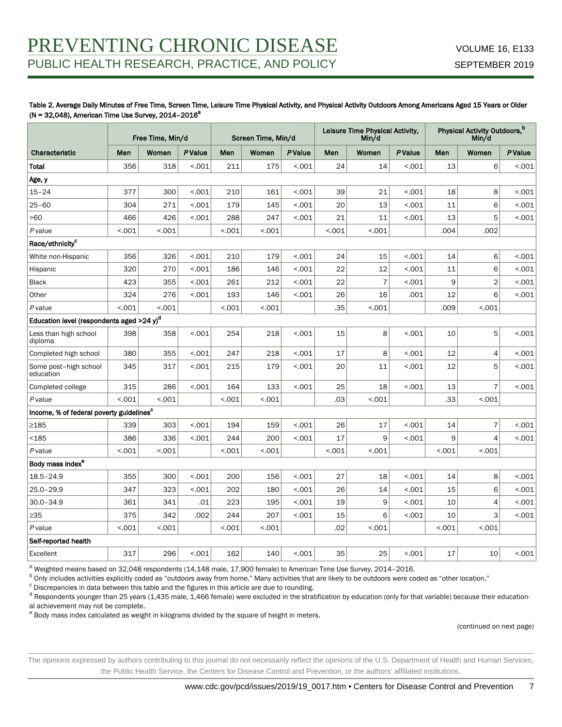#### Table 2. Average Daily Minutes of Free Time, Screen Time, Leisure Time Physical Activity, and Physical Activity Outdoors Among Americans Aged 15 Years or Older (N = 32,048), American Time Use Survey,  $2014 - 2016^a$

|                                                       | Free Time, Min/d |        | Screen Time, Min/d |        |         | Leisure Time Physical Activity,<br>Min/d |        |                | Physical Activity Outdoors, <sup>b</sup><br>Min/d |        |                |                |
|-------------------------------------------------------|------------------|--------|--------------------|--------|---------|------------------------------------------|--------|----------------|---------------------------------------------------|--------|----------------|----------------|
| Characteristic                                        | Men              | Women  | <b>P</b> Value     | Men    | Women   | PValue                                   | Men    | Women          | <b>P</b> Value                                    | Men    | Women          | <b>P</b> Value |
| Total                                                 | 356              | 318    | < .001             | 211    | 175     | < .001                                   | 24     | 14             | < .001                                            | 13     | 6              | < .001         |
| Age, y                                                |                  |        |                    |        |         |                                          |        |                |                                                   |        |                |                |
| $15 - 24$                                             | 377              | 300    | < .001             | 210    | 161     | < .001                                   | 39     | 21             | < .001                                            | 18     | 8              | < .001         |
| $25 - 60$                                             | 304              | 271    | < .001             | 179    | 145     | < .001                                   | 20     | 13             | < .001                                            | 11     | 6              | < .001         |
| >60                                                   | 466              | 426    | < .001             | 288    | 247     | < .001                                   | 21     | 11             | < .001                                            | 13     | 5              | < .001         |
| Pvalue                                                | < .001           | < .001 |                    | < .001 | < .001  |                                          | < .001 | < .001         |                                                   | .004   | .002           |                |
| Race/ethnicity <sup>c</sup>                           |                  |        |                    |        |         |                                          |        |                |                                                   |        |                |                |
| White non-Hispanic                                    | 356              | 326    | < .001             | 210    | 179     | < .001                                   | 24     | 15             | < .001                                            | 14     | 6              | < .001         |
| Hispanic                                              | 320              | 270    | < .001             | 186    | 146     | < .001                                   | 22     | 12             | < .001                                            | 11     | 6              | < .001         |
| <b>Black</b>                                          | 423              | 355    | < .001             | 261    | 212     | < .001                                   | 22     | $\overline{7}$ | < .001                                            | 9      | $\overline{2}$ | < .001         |
| Other                                                 | 324              | 276    | < .001             | 193    | 146     | < .001                                   | 26     | 16             | .001                                              | 12     | 6              | < .001         |
| Pvalue                                                | < .001           | < .001 |                    | < .001 | < .001  |                                          | .35    | < .001         |                                                   | .009   | < .001         |                |
| Education level (respondents aged >24 y) <sup>d</sup> |                  |        |                    |        |         |                                          |        |                |                                                   |        |                |                |
| Less than high school<br>diploma                      | 398              | 358    | < .001             | 254    | 218     | < .001                                   | 15     | 8              | < .001                                            | 10     | 5              | < .001         |
| Completed high school                                 | 380              | 355    | < .001             | 247    | 218     | < .001                                   | 17     | 8              | < .001                                            | 12     | $\overline{4}$ | < .001         |
| Some post-high school<br>education                    | 345              | 317    | < .001             | 215    | 179     | < 0.001                                  | 20     | 11             | < 0.001                                           | 12     | 5              | < .001         |
| Completed college                                     | 315              | 286    | < .001             | 164    | 133     | < .001                                   | 25     | 18             | < .001                                            | 13     | $\overline{7}$ | < .001         |
| Pvalue                                                | < 0.001          | < .001 |                    | < .001 | < .001  |                                          | .03    | < .001         |                                                   | .33    | < .001         |                |
| Income, % of federal poverty guidelines <sup>c</sup>  |                  |        |                    |        |         |                                          |        |                |                                                   |        |                |                |
| $\geq$ 185                                            | 339              | 303    | < .001             | 194    | 159     | < .001                                   | 26     | 17             | < .001                                            | 14     | $\overline{7}$ | < .001         |
| $185$                                                 | 386              | 336    | < .001             | 244    | 200     | < .001                                   | 17     | 9              | < .001                                            | 9      | $\overline{4}$ | < .001         |
| Pvalue                                                | < .001           | < .001 |                    | < .001 | < .001  |                                          | < .001 | < .001         |                                                   | < .001 | < .001         |                |
| Body mass index <sup>e</sup>                          |                  |        |                    |        |         |                                          |        |                |                                                   |        |                |                |
| $18.5 - 24.9$                                         | 355              | 300    | < .001             | 200    | 156     | < .001                                   | 27     | 18             | < .001                                            | 14     | 8              | < .001         |
| $25.0 - 29.9$                                         | 347              | 323    | < .001             | 202    | 180     | < .001                                   | 26     | 14             | < .001                                            | 15     | 6              | < .001         |
| $30.0 - 34.9$                                         | 361              | 341    | .01                | 223    | 195     | < .001                                   | 19     | 9              | < .001                                            | 10     | $\overline{4}$ | < .001         |
| $\geq$ 35                                             | 375              | 342    | .002               | 244    | 207     | < .001                                   | 15     | 6              | < .001                                            | 10     | 3              | < .001         |
| Pvalue                                                | < .001           | < .001 |                    | < .001 | < 0.001 |                                          | .02    | < .001         |                                                   | < .001 | < .001         |                |
| Self-reported health                                  |                  |        |                    |        |         |                                          |        |                |                                                   |        |                |                |
| Excellent                                             | 317              | 296    | < .001             | 162    | 140     | < .001                                   | 35     | 25             | < .001                                            | 17     | 10             | < .001         |

<sup>a</sup> Weighted means based on 32,048 respondents (14,148 male, 17,900 female) to American Time Use Survey, 2014-2016.

<sup>b</sup> Only includes activities explicitly coded as "outdoors away from home." Many activities that are likely to be outdoors were coded as "other location."

 $\textdegree$  Discrepancies in data between this table and the figures in this article are due to rounding.

<sup>d</sup> Respondents younger than 25 years (1,435 male, 1,466 female) were excluded in the stratification by education (only for that variable) because their educational achievement may not be complete.

<sup>e</sup> Body mass index calculated as weight in kilograms divided by the square of height in meters.

(continued on next page)